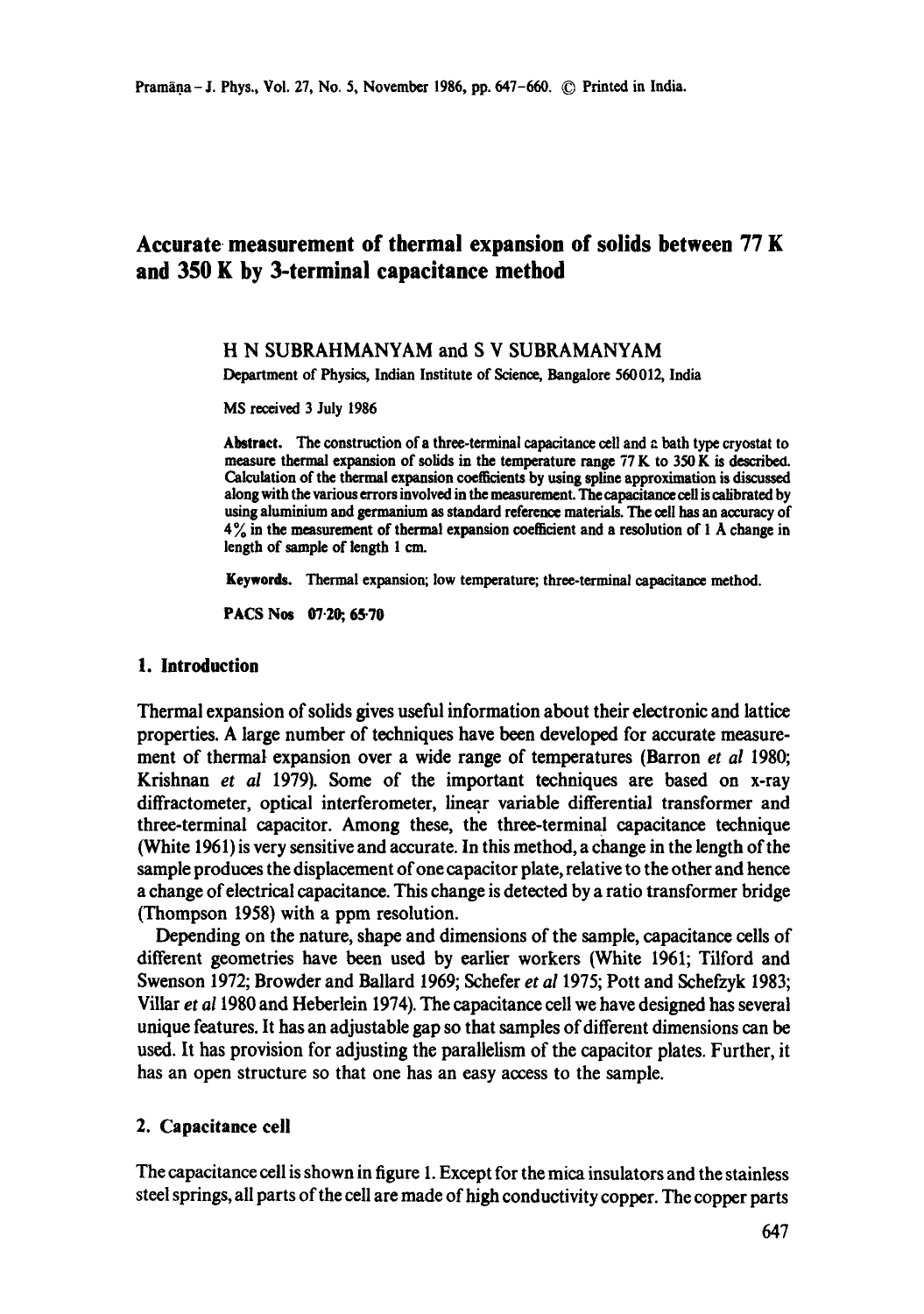# **Accurate. measurement of thermal expansion of solids between 77 K and 350 K by 3-terminal capacitance method**

# H N SUBRAHMANYAM and S V SUBRAMANYAM

Department of Physics, Indian Institute of Science, Bangalore 560012, India

MS received 3 July 1986

Abstract. The construction of a three-terminal capacitance cell and a bath type cryostat to measure thermal expansion of solids in the temperature range  $77 K$  to  $350 K$  is described. Calculation of the thermal expansion coefficients by using spline approximation is discussed along with the various errors involved in the measurement. The capacitance cell is calibrated by using aluminium and germanium as standard reference materials. The cell has an accuracy of  $4\%$  in the measurement of thermal expansion coefficient and a resolution of 1 A change in length of sample of length 1 cm.

Keywords. Thermal expansion; low temperature; three-terminal capacitance method.

PACS Nos 07.20: 65.70

# **1. Introduction**

Thermal expansion of solids gives useful information about their electronic and lattice properties. A large number of techniques have been developed for accurate measurement of thermal expansion over a wide range of temperatures (Barren *et al* 1980; Krishnan *et al* 1979). Some of the important techniques are based on x-ray diffractometer, optical interferometer, linear variable differential transformer and three-terminal capacitor. Among these, the three-terminal capacitance technique (White 1961) is very sensitive and accurate. In this method, a change in the length of the sample produces the displacement of one capacitor plate, relative to the other and hence a change of electrical capacitance. This change is detected by a ratio transformer bridge (Thompson 1958) with a ppm resolution.

Depending on the nature, shape and dimensions of the sample, capacitance cells of different geometries have been used by earlier workers (White 1961; Tilford and Swenson 1972; Browder and Ballard 1969; Schefer *et ai* 1975; Pott and Schefzyk 1983; Villar *et a11980* and Heberlein 1974). The capacitance cell we have designed has several unique features. It has an adjustable gap so that samples of different dimensions can be used. It has provision for adjusting the parallelism of the capacitor plates. Further, it has an open structure so that one has an easy access to the sample.

## **2. Capacitance cell**

The capacitance cell is shown in figure 1. Except for the mica insulators and the stainless steel springs, all parts of the cell are made of high conductivity copper. The copper parts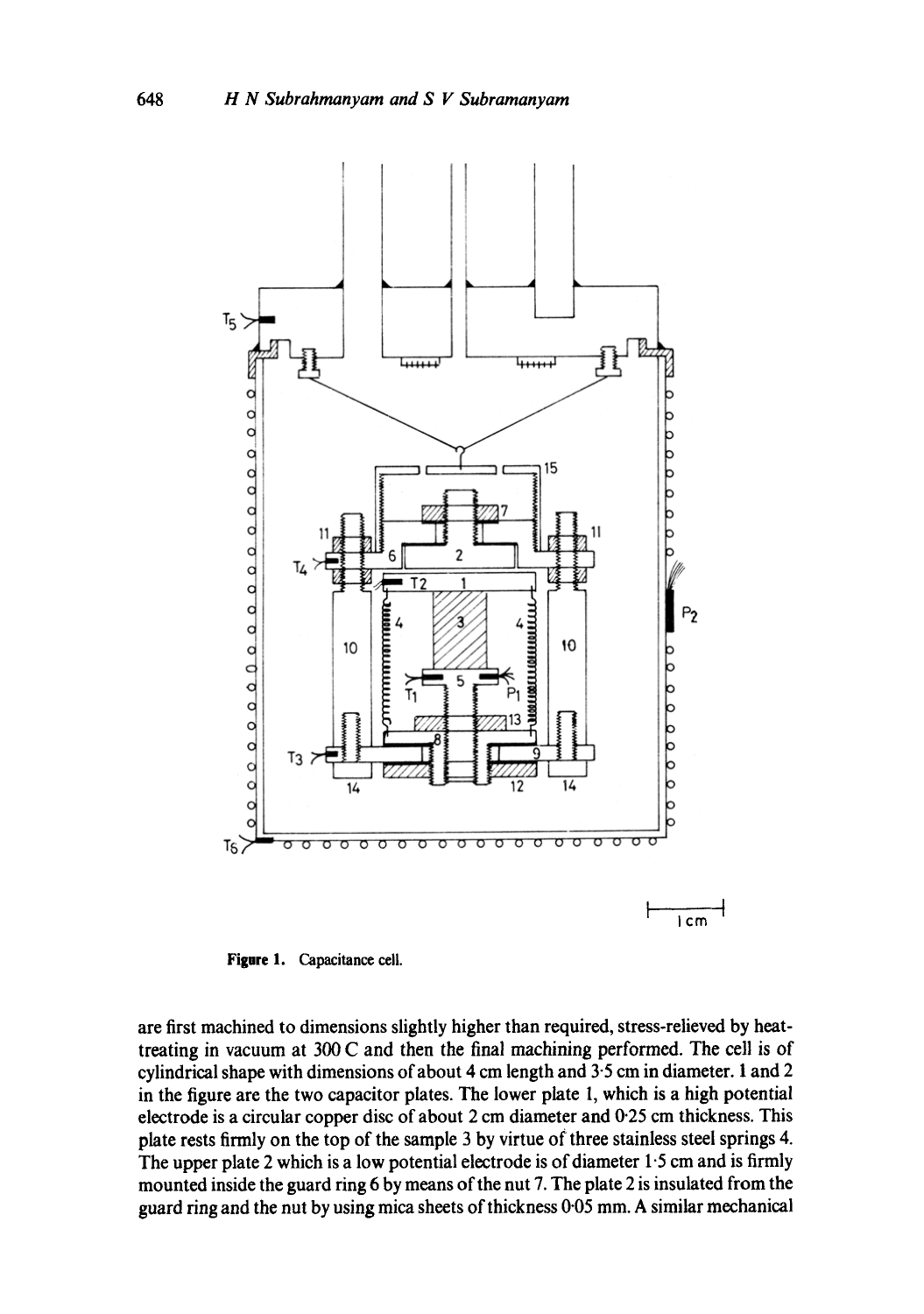

**Figure 1. Capacitance ceil.** 

**are first machined to dimensions slightly higher than required, stress-relieved by heattreating in vacuum at 300 C and then the final machining performed. The cell is of cylindrical shape with dimensions of about 4 cm length and 3-5 cm in diameter. 1 and 2 in the figure are the two capacitor plates. The lower plate 1, which is a high potential electrode is a circular copper disc of about 2 cm diameter and 0.25 cm thickness. This plate rests firmly on the top of the sample 3 by virtue of three stainless steel springs 4.**  The upper plate 2 which is a low potential electrode is of diameter 1.5 cm and is firmly **mounted inside the guard ring 6 by means of the nut 7. The plate 2 is insulated from the guard ring and the nut by using mica sheets of thickness 0.05 mm. A similar mechanical** 

**648** *H N Subrahmanyam and S V Subramanyam*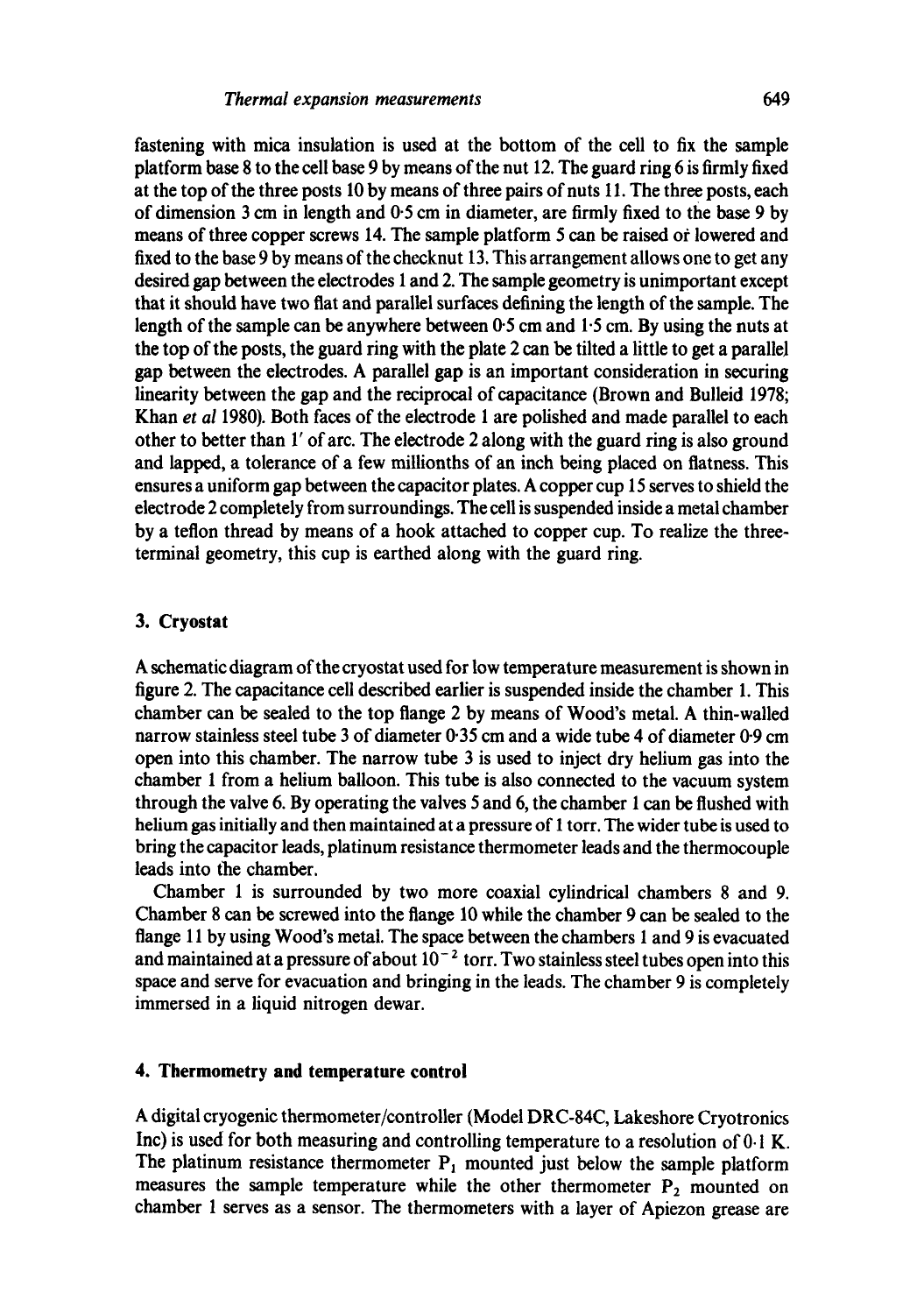fastening with mica insulation is used at the bottom of the cell to fix the sample platform base 8 to the cell base 9 by means of the nut 12. The guard ring 6 is firmly fixed at the top of the three posts 10 by means of three pairs of nuts I1. The three posts, each of dimension 3 cm in length and 0.5 cm in diameter, are firmly fixed to the base 9 by means of three copper screws 14. The sample platform 5 can be raised of lowered and fixed to the base 9 by means of the checknut 13. This arrangement allows one to get any desired gap between the electrodes 1 and 2. The sample geometry is unimportant except that it should have two flat and parallel surfaces defining the length of the sample. The length of the sample can be anywhere between  $0.5$  cm and  $1.5$  cm. By using the nuts at the top of the posts, the guard ring with the plate 2 can be tilted a little to get a parallel gap between the electrodes. A parallel gap is an important consideration in securing linearity between the gap and the reciprocal of capacitance (Brown and Bulleid 1978; Khan *et al* 1980). Both faces of the electrode 1 are polished and made parallel to each other to better than 1' of arc. The electrode 2 along with the guard ring is also ground and lapped, a tolerance of a few millionths of an inch being placed on flatness. This ensures a uniform gap between the capacitor plates. A copper cup 15 serves to shield the electrode 2 completely from surroundings. The cell is suspended inside a metal chamber by a teflon thread by means of a hook attached to copper cup. To realize the threeterminal geometry, this cup is earthed along with the guard ring.

## **3. Cryostat**

A schematic diagram of the cryostat used for low temperature measurement is shown in figure 2. The capacitance cell described earlier is suspended inside the chamber 1. This chamber can be sealed to the top flange 2 by means of Wood's metal. A thin-walled narrow stainless steel tube 3 of diameter 0.35 cm and a wide tube 4 of diameter 0.9 cm open into this chamber. The narrow tube 3 is used to inject dry helium gas into the chamber 1 from a helium balloon. This tube is also connected to the vacuum system through the valve 6. By operating the valves 5 and 6, the chamber I can be flushed with helium gas initially and then maintained at a pressure of 1 torr. The wider tube is used to bring the capacitor leads, platinum resistance thermometer leads and the thermocouple leads into the chamber.

Chamber 1 is surrounded by two more coaxial cylindrical chambers 8 and 9. Chamber 8 can be screwed into the flange 10 while the chamber 9 can be sealed to the flange 11 by using Wood's metal. The space between the chambers 1 and 9 is evacuated and maintained at a pressure of about  $10^{-2}$  torr. Two stainless steel tubes open into this space and serve for evacuation and bringing in the leads. The chamber 9 is completely immersed in a liquid nitrogen dewar.

## **4. Thermometry and temperature control**

A digital cryogenic thermometer/controller (Model DRC-84C, Lakeshore Cryotronics Inc) is used for both measuring and controlling temperature to a resolution of 0.1 K. The platinum resistance thermometer  $P_1$  mounted just below the sample platform measures the sample temperature while the other thermometer  $P_2$  mounted on chamber 1 serves as a sensor. The thermometers with a layer of Apiezon grease are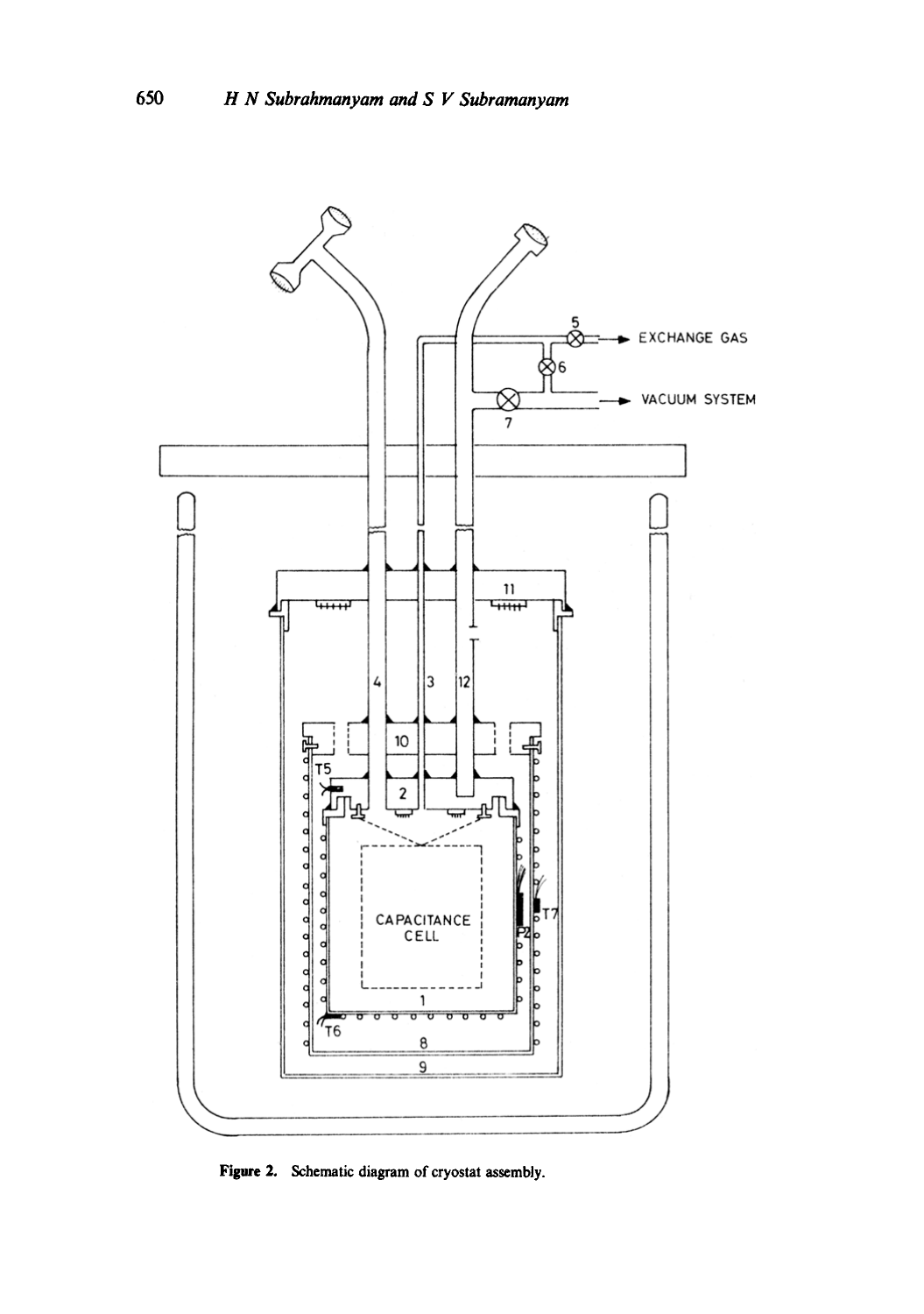

Figure 2. Schematic diagram of cryostat assembly.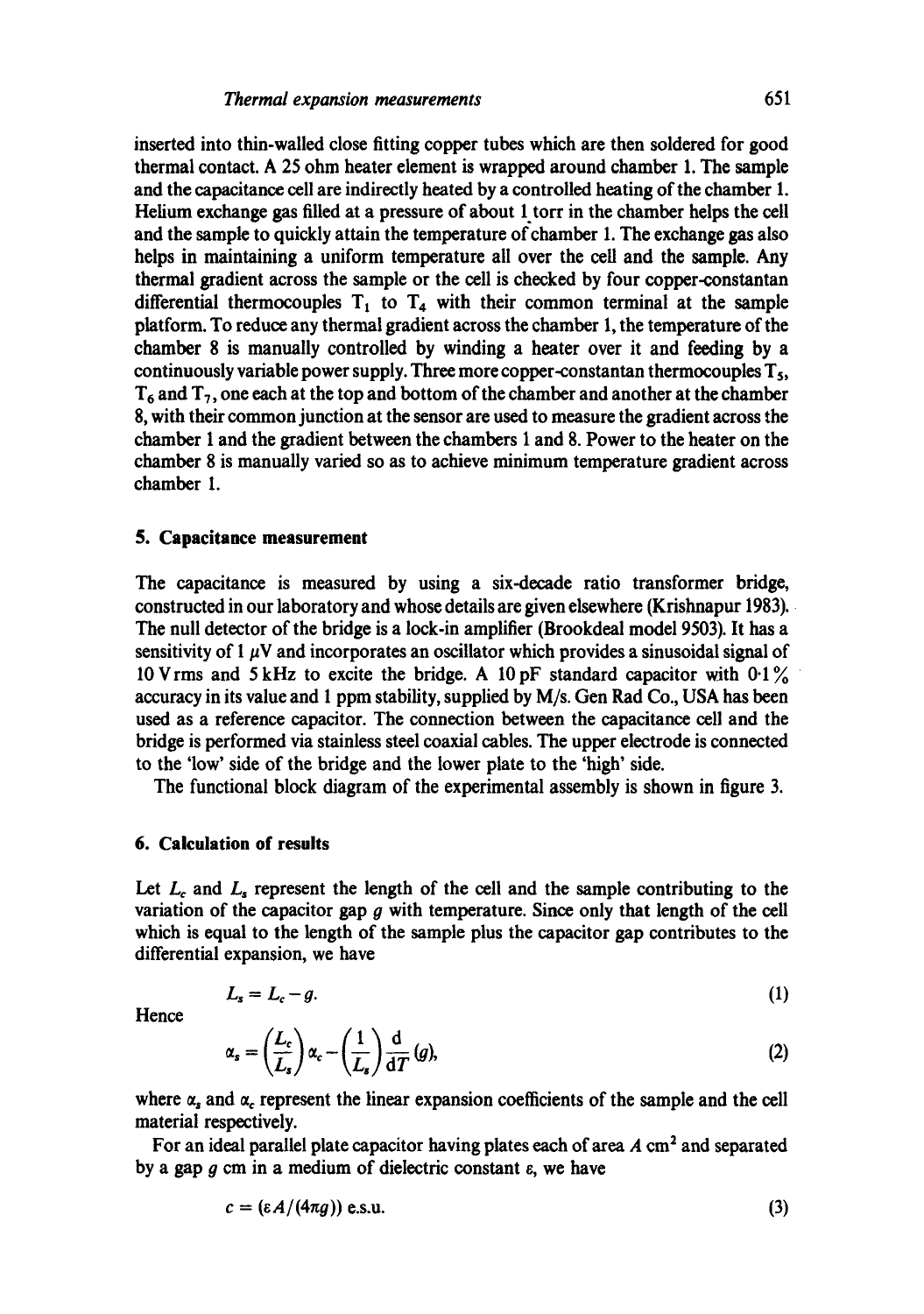inserted into thin-walled close fitting copper tubes which are then soldered for good thermal contact. A 25 ohm heater element is wrapped around chamber 1. The sample and the capacitance cell are indirectly heated by a controlled heating of the chamber 1. Helium exchange gas filled at a pressure of about 1 torr in the chamber helps the cell and the sample to quickly attain the temperature of'chamber 1. The exchange gas also helps in maintaining a uniform temperature all over the cell and the sample. Any thermal gradient across the sample or the cell is checked by four copper-constantan differential thermocouples  $T_1$  to  $T_4$  with their common terminal at the sample platform. To reduce any thermal gradient across the chamber 1, the temperature of the chamber 8 is manually controlled by winding a heater over it and feeding by a continuously variable power supply. Three more copper-constantan thermocouples  $T_5$ ,  $T_6$  and  $T_7$ , one each at the top and bottom of the chamber and another at the chamber 8, with their common junction at the sensor are used to measure the gradient across the chamber I and the gradient between the chambers 1 and 8. Power to the heater on the chamber 8 is manually varied so as to achieve minimum temperature gradient across chamber I.

#### **5. Capacitance measurement**

The capacitance is measured by using a six-decade ratio transformer bridge, constructed in our laboratory and whose details are given elsewhere (Krishnapur 1983). The null detector of the bridge is a lock-in amplifier (Brookdeal model 9503). It has a sensitivity of 1  $\mu$ V and incorporates an oscillator which provides a sinusoidal signal of 10 V rms and 5 kHz to excite the bridge. A 10 pF standard capacitor with  $0.1\%$ accuracy in its value and 1 ppm stability, supplied by M/s. Gen Rad Co., USA has been used as a reference capacitor. The connection between the capacitance cell and the bridge is performed via stainless steel coaxial cables. The upper electrode is connected to the 'low' side of the bridge and the lower plate to the 'high' side.

The functional block diagram of the experimental assembly is shown in figure 3.

## **6. Calculation of results**

Let  $L_c$  and  $L_s$  represent the length of the cell and the sample contributing to the variation of the capacitor gap  $q$  with temperature. Since only that length of the cell which is equal to the length of the sample plus the capacitor gap contributes to the differential expansion, we have

$$
L_s = L_c - g. \tag{1}
$$

Hence

$$
\alpha_s = \left(\frac{L_c}{L_s}\right) \alpha_c - \left(\frac{1}{L_s}\right) \frac{d}{dT} (g),\tag{2}
$$

where  $\alpha_s$  and  $\alpha_c$  represent the linear expansion coefficients of the sample and the cell material respectively.

For an ideal parallel plate capacitor having plates each of area  $A \text{ cm}^2$  and separated by a gap  $g$  cm in a medium of dielectric constant  $\varepsilon$ , we have

$$
c = \left(\varepsilon A/(4\pi g)\right) \text{ e.s.u.}\tag{3}
$$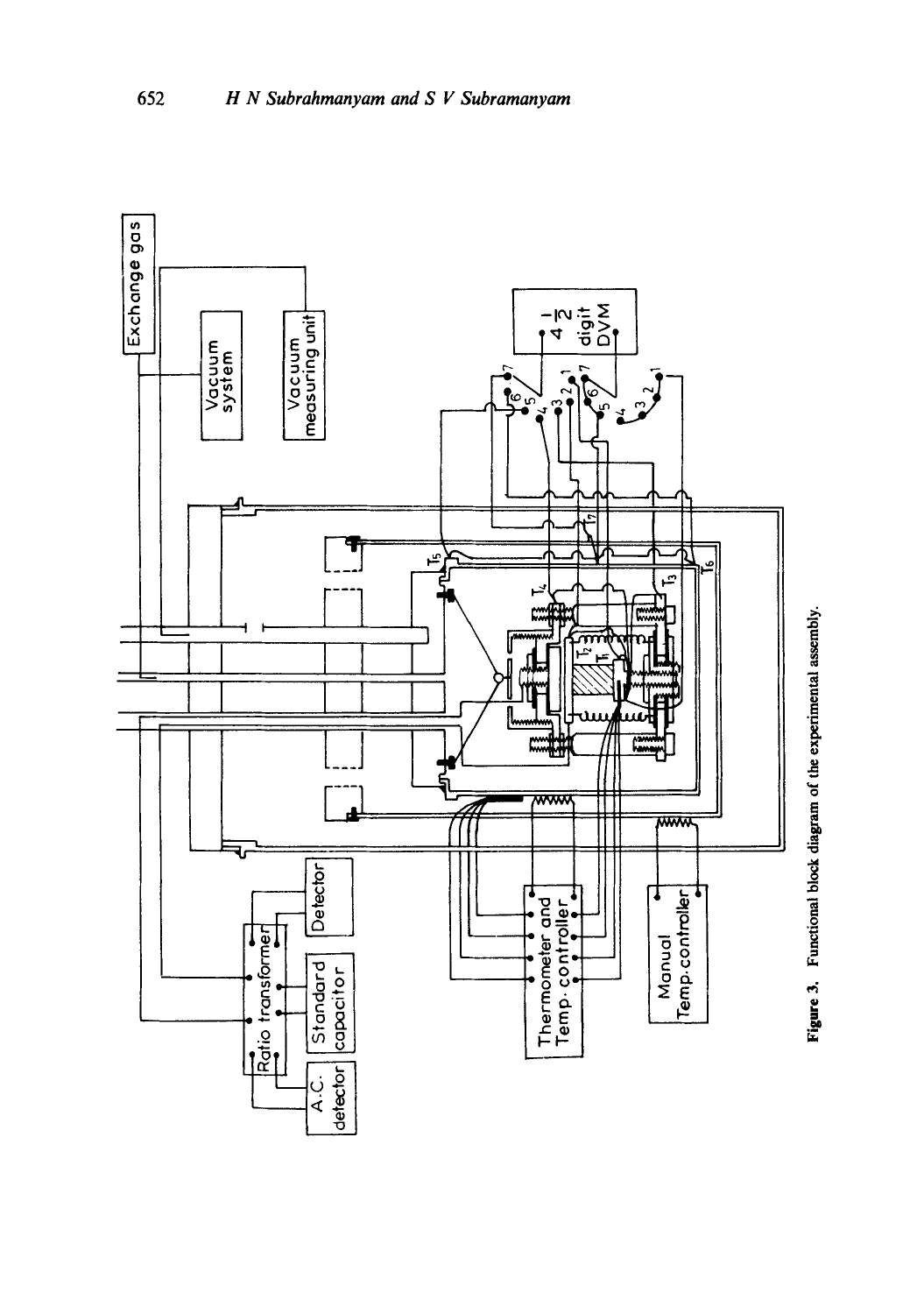



Ţ

Thermometer and<br>Temp.controller<br>Temp.controller

Temp.controller

Manual

न

Ratio transformer

**Detector** 

Standard capacitor

detector ن<br>نم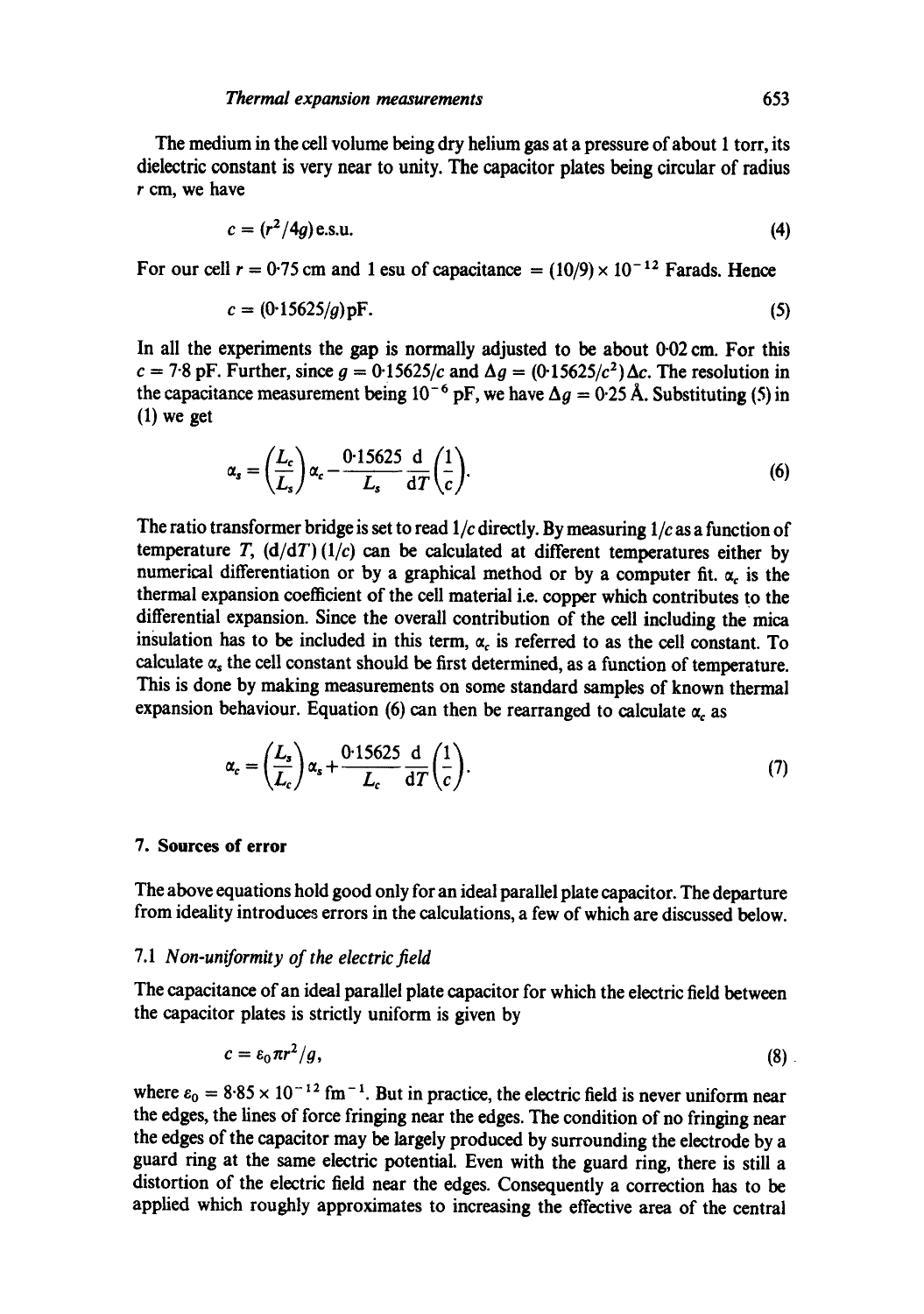The medium in the cell volume being dry helium gas at a pressure of about 1 torr, its dielectric constant is very near to unity. The capacitor plates being circular of radius r cm, we have

$$
c = (r^2/4g)\,\text{e.s.u.}\tag{4}
$$

For our cell  $r = 0.75$  cm and 1 esu of capacitance =  $(10/9) \times 10^{-12}$  Farads. Hence

$$
c = (0.15625/g) \text{pF}. \tag{5}
$$

In all the experiments the gap is normally adjusted to be about 0-02 cm. For this  $c = 7.8$  pF. Further, since  $g = 0.15625/c$  and  $\Delta g = (0.15625/c^2) \Delta c$ . The resolution in the capacitance measurement being  $10^{-6}$  pF, we have  $\Delta q = 0.25$  Å. Substituting (5) in **(1)** we get

$$
\alpha_s = \left(\frac{L_c}{L_s}\right) \alpha_c - \frac{0.15625}{L_s} \frac{d}{dT} \left(\frac{1}{c}\right). \tag{6}
$$

The ratio transformer bridge is set to read *1/c* directly. By measuring *1/c* as a function of temperature T,  $(d/dT)(1/c)$  can be calculated at different temperatures either by numerical differentiation or by a graphical method or by a computer fit.  $\alpha_c$  is the thermal expansion coefficient of the cell material i.e. copper which contributes to the differential expansion. Since the overall contribution of the cell including the mica insulation has to be included in this term,  $\alpha_c$  is referred to as the cell constant. To calculate  $\alpha_s$  the cell constant should be first determined, as a function of temperature. This is done by making measurements on some standard samples of known thermal expansion behaviour. Equation (6) can then be rearranged to calculate  $\alpha$ , as

$$
\alpha_c = \left(\frac{L_s}{L_c}\right) \alpha_s + \frac{0.15625}{L_c} \frac{d}{dT} \left(\frac{1}{c}\right). \tag{7}
$$

## **7. Sources of error**

The above equations hold good only for an ideal parallel plate capacitor. The departure from ideality introduces errors in the calculations, a few of which are discussed below.

## 7.1 *Non-uniformity of the electric field*

The capacitance of an ideal parallel plate capacitor for which the electric field between the capacitor plates is strictly uniform is given by

$$
c = \varepsilon_0 \pi r^2 / g, \tag{8}
$$

where  $\varepsilon_0 = 8.85 \times 10^{-12}$  fm<sup>-1</sup>. But in practice, the electric field is never uniform near the edges, the lines of force fringing near the edges. The condition of no fringing near the edges of the capacitor may be largely produced by surrounding the electrode by a guard ring at the same electric potential. Even with the guard ring, there is still a distortion of the electric field near the edges. Consequently a correction has to be applied which roughly approximates to increasing the effective area of the central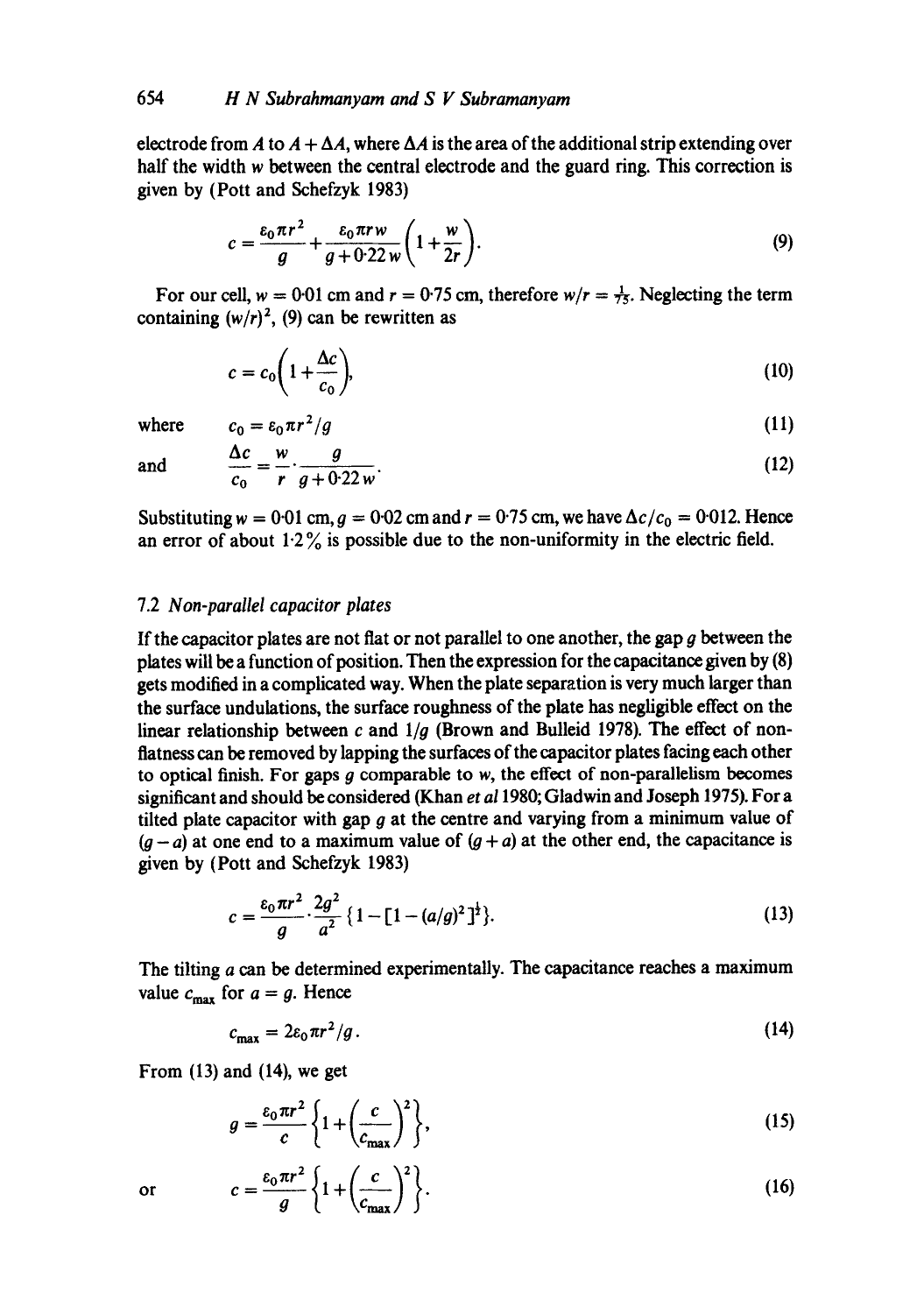electrode from A to  $A + \Delta A$ , where  $\Delta A$  is the area of the additional strip extending over half the width w between the central electrode and the guard ring. This correction is given by (Pott and Schefzyk 1983)

$$
c = \frac{\varepsilon_0 \pi r^2}{g} + \frac{\varepsilon_0 \pi r w}{g + 0.22 w} \left( 1 + \frac{w}{2r} \right).
$$
 (9)

For our cell,  $w = 0.01$  cm and  $r = 0.75$  cm, therefore  $w/r = \frac{1}{75}$ . Neglecting the term containing  $(w/r)^2$ , (9) can be rewritten as

$$
c = c_0 \left( 1 + \frac{\Delta c}{c_0} \right),\tag{10}
$$

where  $c_0 = \varepsilon_0 \pi r^2 / a$  (11)

and 
$$
\frac{\Delta c}{c_0} = \frac{w}{r} \cdot \frac{g}{g + 0.22 w}.
$$
 (12)

Substituting  $w = 0.01$  cm,  $g = 0.02$  cm and  $r = 0.75$  cm, we have  $\Delta c/c_0 = 0.012$ . Hence an error of about  $1.2\%$  is possible due to the non-uniformity in the electric field.

#### 7.2 *Non-parallel capacitor plates*

If the capacitor plates are not flat or not parallel to one another, the gap  $g$  between the plates will be a function of position. Then the expression for the capacitance given by (8) gets modified in a complicated way. When the plate separation is very much larger than the surface undulations, the surface roughness of the plate has negligible effect on the linear relationship between c and  $1/q$  (Brown and Bulleid 1978). The effect of nonflatness can be removed by lapping the surfaces of the capacitor plates facing each other to optical finish. For gaps  $g$  comparable to  $w$ , the effect of non-parallelism becomes significant and should be considered (Khan *et a11980;* Gladwin and Joseph 1975). For a tilted plate capacitor with gap  $g$  at the centre and varying from a minimum value of  $(q - a)$  at one end to a maximum value of  $(q + a)$  at the other end, the capacitance is given by (Port and Schefzyk 1983)

$$
c = \frac{\varepsilon_0 \pi r^2}{g} \cdot \frac{2g^2}{a^2} \left\{ 1 - \left[ 1 - (a/g)^2 \right]^{\frac{1}{2}} \right\}.
$$
 (13)

The tilting  $a$  can be determined experimentally. The capacitance reaches a maximum value  $c_{\text{max}}$  for  $a = g$ . Hence

$$
c_{\text{max}} = 2\varepsilon_0 \pi r^2 / g \,. \tag{14}
$$

From (13) and (14), we get

$$
g = \frac{\varepsilon_0 \pi r^2}{c} \left\{ 1 + \left( \frac{c}{c_{\text{max}}} \right)^2 \right\},\tag{15}
$$

or 
$$
c = \frac{\varepsilon_0 \pi r^2}{g} \left\{ 1 + \left( \frac{c}{c_{\text{max}}} \right)^2 \right\}.
$$
 (16)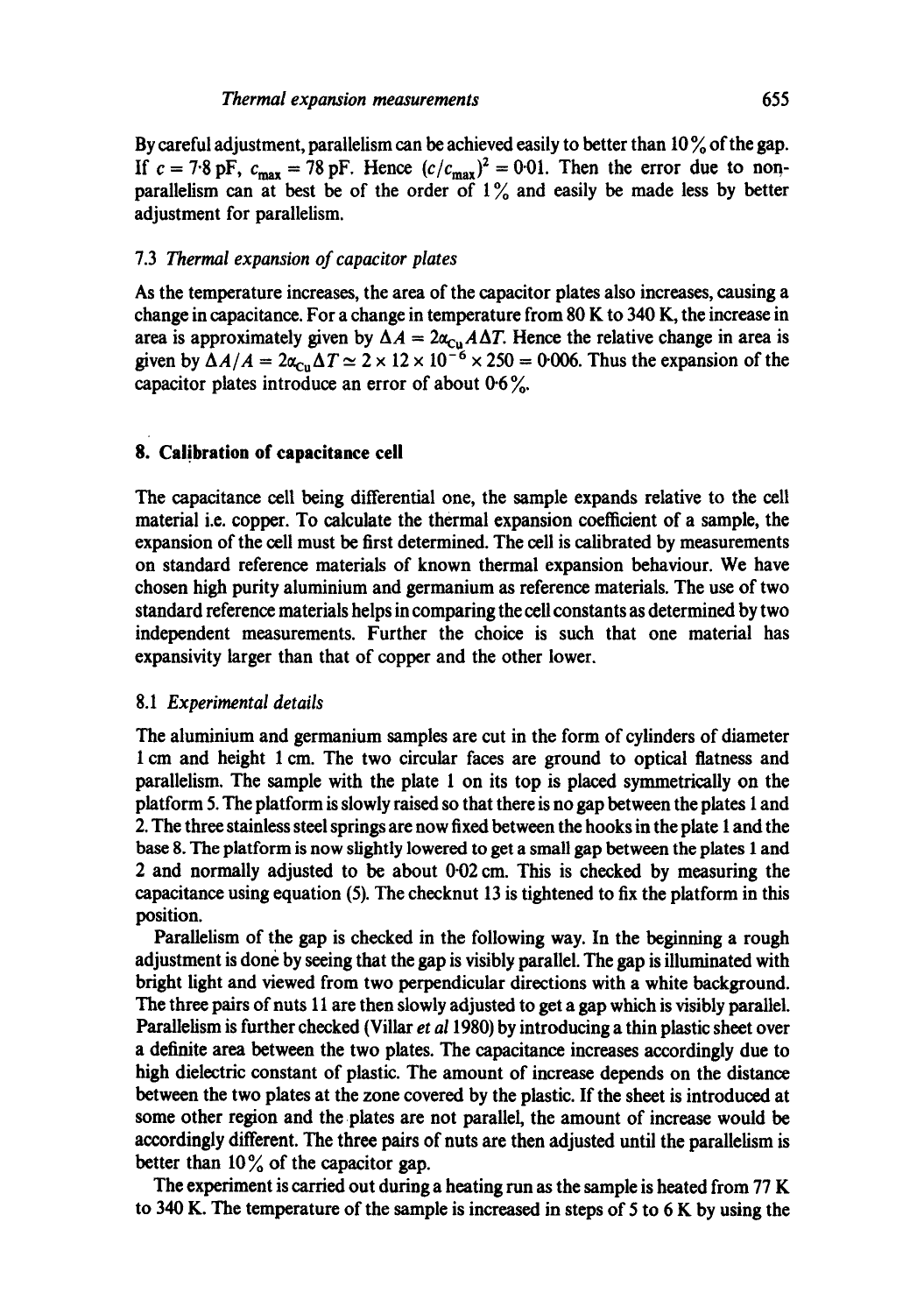By careful adjustment, parallelism can be achieved easily to better than  $10\%$  of the gap. If  $c = 7.8$  pF,  $c_{\text{max}} = 78$  pF. Hence  $(c/c_{\text{max}})^2 = 0.01$ . Then the error due to nonparallelism can at best be of the order of  $1\%$  and easily be made less by better adjustment for parallelism.

## 7.3 *Thermal expansion of capacitor plates*

As the temperature increases, the area of the capacitor plates also increases, causing a change in capacitance. For a change in temperature from 80 K to 340 K, the increase in area is approximately given by  $\Delta A = 2\alpha_{\text{Cu}} A \Delta T$ . Hence the relative change in area is given by  $\Delta A/A = 2\alpha_{\text{Cu}}\Delta T \simeq 2 \times 12 \times 10^{-6} \times 250 = 0.006$ . Thus the expansion of the capacitor plates introduce an error of about  $0.6\%$ .

## **8. Cai!bration of capacitance cell**

The capacitance cell being differential one, the sample expands relative to the cell material i.e. copper. To calculate the thermal expansion coefficient of a sample, the expansion of the cell must be first determined. The cell is calibrated by measurements on standard reference materials of known thermal expansion behaviour. We have chosen high purity aluminium and germanium as reference materials. The use of two standard reference materials helps in comparing the cell constants as determined by two independent measurements. Further the choice is such that one material has expansivity larger than that of copper and the other lower.

#### 8.1 *Experimental details*

The aluminium and germanium samples are cut in the form of cylinders of diameter I cm and height 1 cm. The two circular faces are ground to optical flatness and parallelism. The sample with the plate 1 on its top is placed symmetrically on the platform 5. The platform is slowly raised so that there is no gap between the plates 1 and 2. The three stainless steel springs are now fixed between the hooks in the plate 1 and the base 8. The platform is now slightly lowered to get a small gap between the plates 1 and 2 and normally adjusted to be about 0"02 cm. This is checked by measuring the capacitance using equation (5). The checknut 13 is tightened to fix the platform in this position.

Parallelism of the gap is checked in the following way. In the beginning a rough adjustment is done by seeing that the gap is visibly parallel. The gap is illuminated with bright light and viewed from two perpendicular directions with a white background. The three pairs of nuts 11 are then slowly adjusted to get a gap which is visibly parallel. Parallelism is further checked (Villar *et a11980)* by introducing a thin plastic sheet over a definite area between the two plates. The capacitance increases accordingly due to high dielectric constant of plastic. The amount of increase depends on the distance between the two plates at the zone covered by the plastic. If the sheet is introduced at some other region and the plates are not parallel, the amount of increase would be accordingly different. The three pairs of nuts are then adjusted until the parallelism is better than  $10\%$  of the capacitor gap.

The experiment is carried out during a heating run as the sample is heated from 77 K to 340 K. The temperature of the sample is increased in steps of 5 to 6 K by using the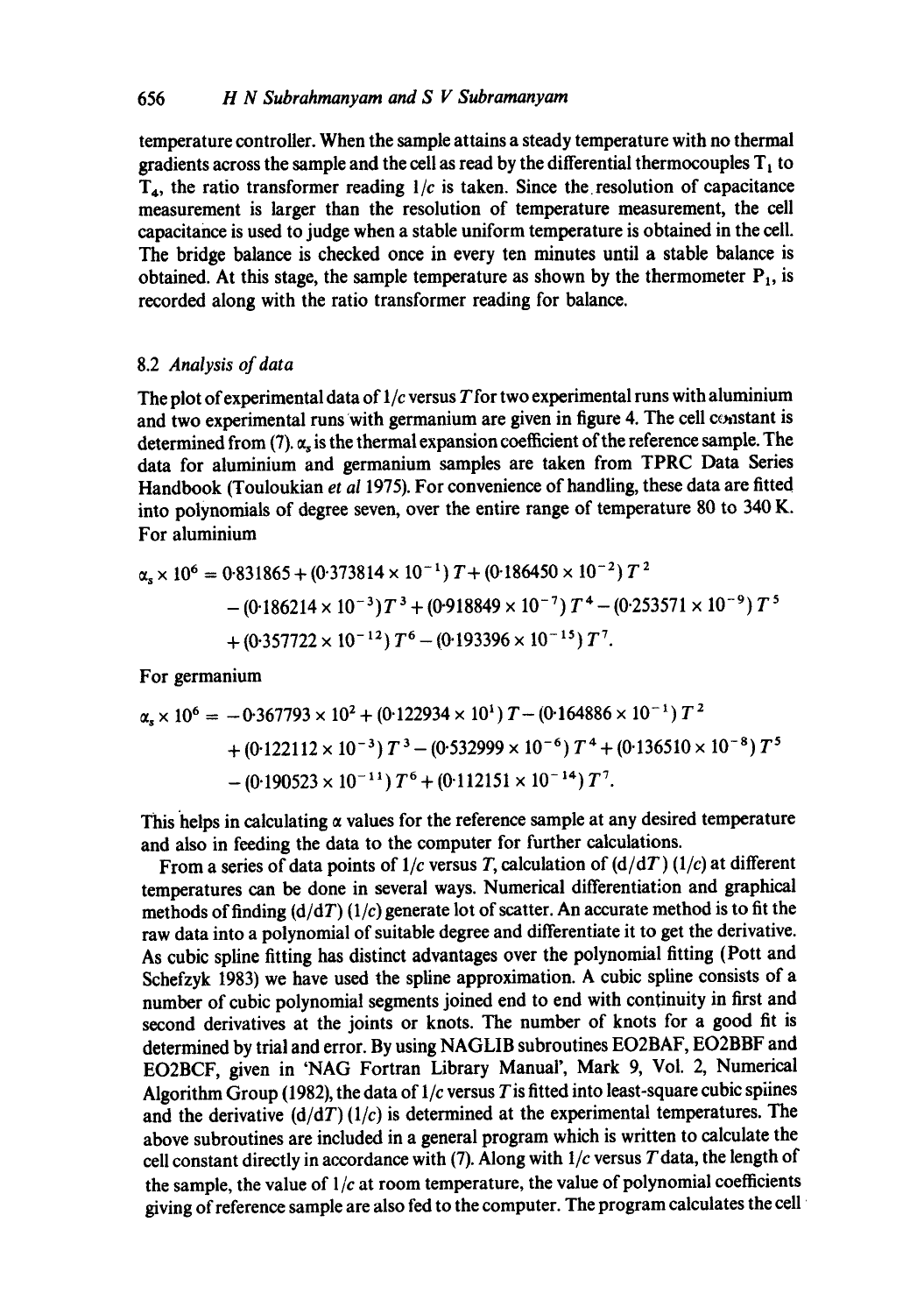temperature controller. When the sample attains a steady temperature with no thermal gradients across the sample and the cell as read by the differential thermocouples  $T_1$  to  $T<sub>4</sub>$ , the ratio transformer reading  $1/c$  is taken. Since the resolution of capacitance measurement is larger than the resolution of temperature measurement, the cell capacitance is used to judge when a stable uniform temperature is obtained in the cell. The bridge balance is checked once in every ten minutes until a stable balance is obtained. At this stage, the sample temperature as shown by the thermometer  $P_1$ , is recorded along with the ratio transformer reading for balance,

# 8.2 *Analysis of data*

The plot of experimental data of  $1/c$  versus T for two experimental runs with aluminium and two experimental runs with germanium are given in figure 4. The cell constant is determined from (7).  $\alpha_x$  is the thermal expansion coefficient of the reference sample. The data for aluminium and germanium samples are taken from TPRC Data Series Handbook (Touloukian *et al* 1975). For convenience of handling, these data are fitted into polynomials of degree seven, over the entire range of temperature 80 to 340 K. For aluminium

$$
\alpha_s \times 10^6 = 0.831865 + (0.373814 \times 10^{-1}) T + (0.186450 \times 10^{-2}) T^2
$$
  
-(0.186214 × 10<sup>-3</sup>) T<sup>3</sup> + (0.918849 × 10<sup>-7</sup>) T<sup>4</sup> - (0.253571 × 10<sup>-9</sup>) T<sup>5</sup>  
+(0.357722 × 10<sup>-12</sup>) T<sup>6</sup> - (0.193396 × 10<sup>-15</sup>) T<sup>7</sup>.

For germanium

$$
\alpha_s \times 10^6 = -0.367793 \times 10^2 + (0.122934 \times 10^1) T - (0.164886 \times 10^{-1}) T^2
$$
  
+ (0.122112 \times 10^{-3}) T^3 - (0.532999 \times 10^{-6}) T^4 + (0.136510 \times 10^{-8}) T^5  
- (0.190523 \times 10^{-11}) T^6 + (0.112151 \times 10^{-14}) T^7.

This helps in calculating  $\alpha$  values for the reference sample at any desired temperature and also in feeding the data to the computer for further calculations.

From a series of data points of  $1/c$  versus T, calculation of  $(d/dT)$   $(1/c)$  at different temperatures can be done in several ways. Numerical differentiation and graphical methods of finding  $(d/dT)$  (1/c) generate lot of scatter. An accurate method is to fit the raw data into a polynomial of suitable degree and differentiate it to get the derivative. As cubic spline fitting has distinct advantages over the polynomial fitting (Pott and Schefzyk 1983) we have used the spline approximation. A cubic spline consists of a number of cubic polynomial segments joined end to end with continuity in first and second derivatives at the joints or knots. The number of knots for a good fit is determined by trial and error. By using NAGLIB subroutines EO2BAF, EO2BBF and EO2BCF, given in 'NAG Fortran Library Manual', Mark 9, Vol. 2, Numerical Algorithm Group (1982), the data of *l/c* versus Tis fitted into least-square cubic spiines and the derivative  $(d/dT)(1/c)$  is determined at the experimental temperatures. The above subroutines are included in a general program which is written to calculate the cell constant directly in accordance with (7). Along with *1/c* versus Tdata, the length of the sample, the value of  $1/c$  at room temperature, the value of polynomial coefficients giving of reference sample are also fed to the computer. The program calculates the cell ~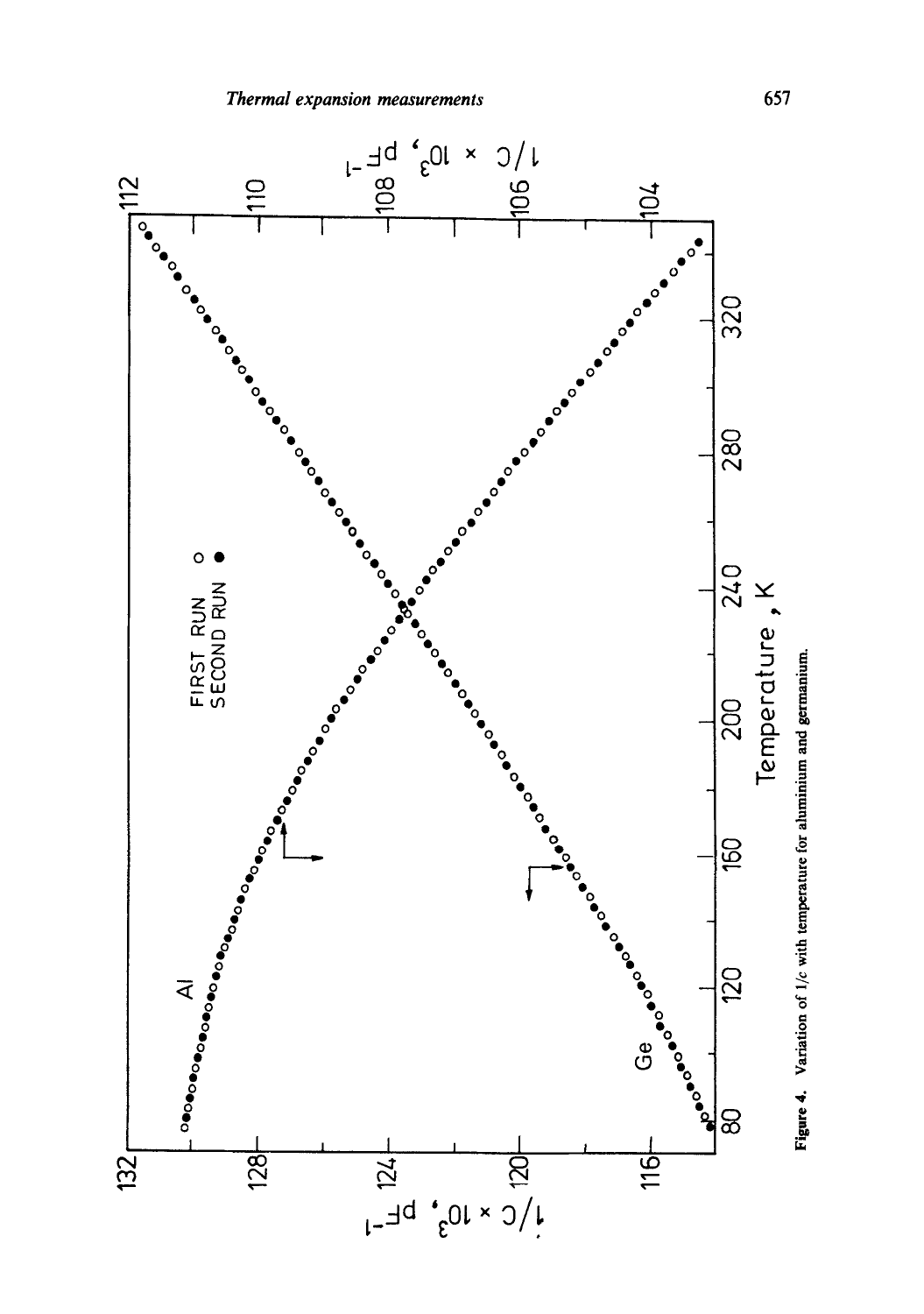

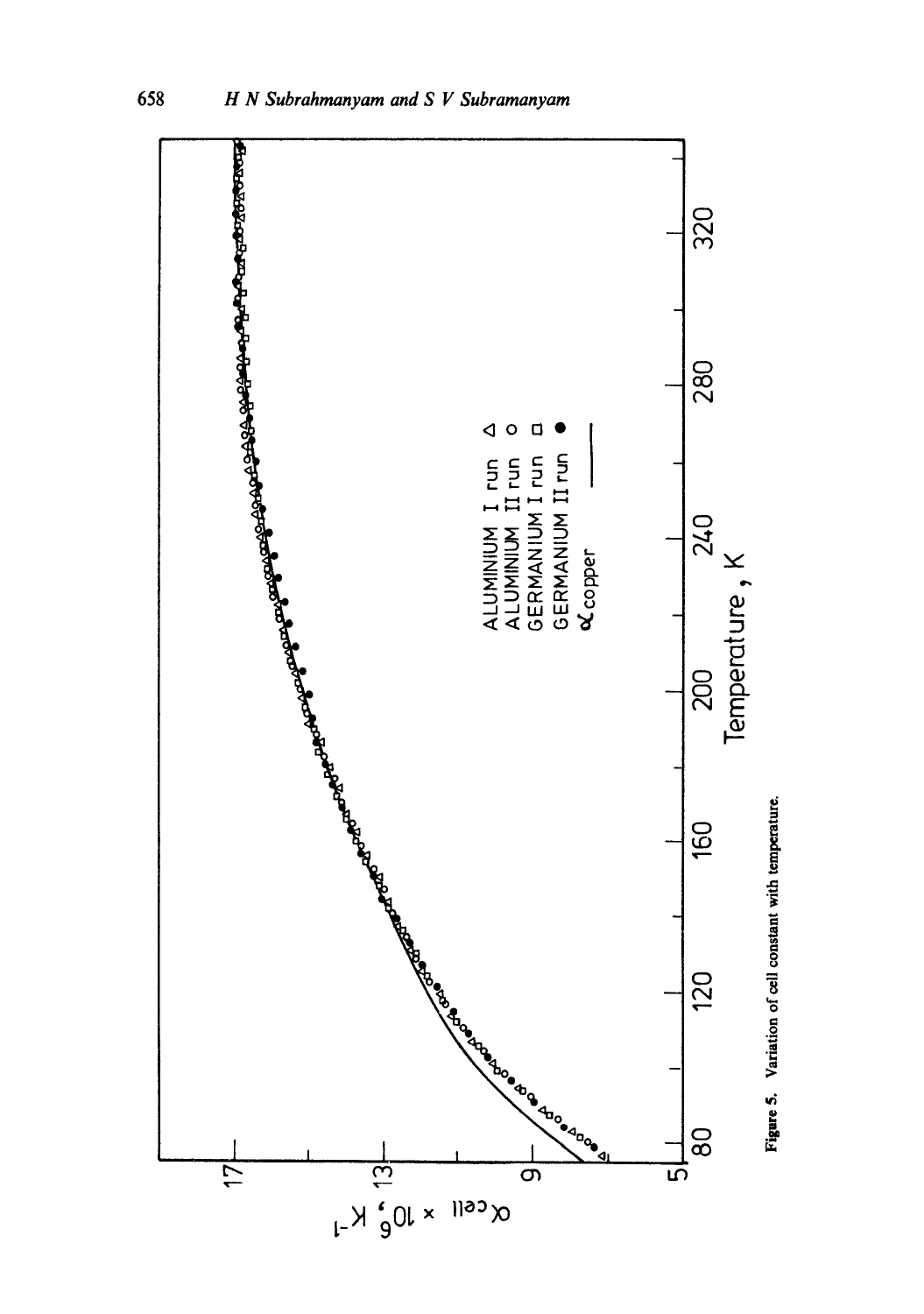

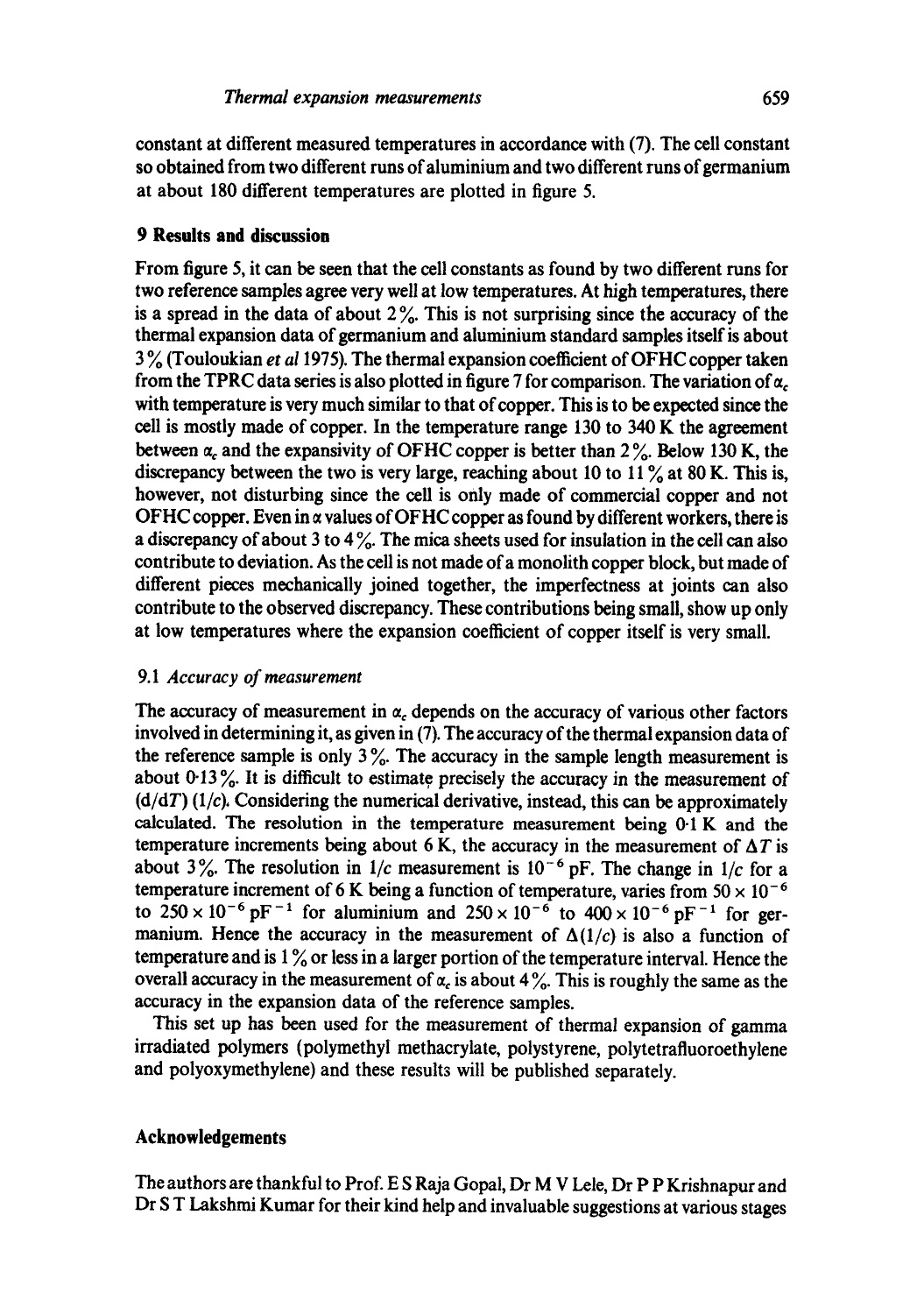constant at different measured temperatures in accordance with (7). The cell constant so obtained from two different runs of aluminium and two different runs of germanium at about 180 different temperatures are plotted in figure 5.

# **9 Results and discussion**

From figure 5, it can be seen that the cell constants as found by two different runs for two reference samples agree very well at low temperatures. At high temperatures, there is a spread in the data of about  $2\%$ . This is not surprising since the accuracy of the thermal expansion data of germanium and aluminium standard samples itself is about 3 % (Touloakian *et a11975).* The thermal expansion coefficient of OFHC copper taken from the TPRC data series is also plotted in figure 7 for comparison. The variation of  $\alpha_c$ with temperature is very much similar to that of copper. This is to be expected since the cell is mostly made of copper. In the temperature range 130 to 340 K the agreement between  $\alpha_c$  and the expansivity of OFHC copper is better than  $2\%$ . Below 130 K, the discrepancy between the two is very large, reaching about 10 to 11% at 80 K. This is, however, not disturbing since the cell is only made of commercial copper and not OFHC copper. Even in  $\alpha$  values of OFHC copper as found by different workers, there is a discrepancy of about 3 to 4%. The mica sheets used for insulation in the cell can also contribute to deviation. As the cell is not made of a monolith copper block, but made of different pieces mechanically joined together, the imperfectness at joints can also contribute to the observed discrepancy. These contributions being small, show up only at low temperatures where the expansion coefficient of copper itself is very small.

## *9.1 Accuracy of measurement*

The accuracy of measurement in  $\alpha_c$  depends on the accuracy of various other factors involved in determining it, as given in (7). The accuracy of the thermal expansion data of the reference sample is only  $3\%$ . The accuracy in the sample length measurement is about  $0.13\%$ . It is difficult to estimate precisely the accuracy in the measurement of  $(d/dT)$  (1/c). Considering the numerical derivative, instead, this can be approximately calculated. The resolution in the temperature measurement being 0-1 K and **the**  temperature increments being about 6 K, the accuracy in the measurement of  $\Delta T$  is about 3%. The resolution in  $1/c$  measurement is  $10^{-6}$  pF. The change in  $1/c$  for a temperature increment of 6 K being a function of temperature, varies from  $50 \times 10^{-6}$ to  $250 \times 10^{-6}$  pF<sup>-1</sup> for aluminium and  $250 \times 10^{-6}$  to  $400 \times 10^{-6}$  pF<sup>-1</sup> for germanium. Hence the accuracy in the measurement of  $\Delta(1/c)$  is also a function of temperature and is  $1\%$  or less in a larger portion of the temperature interval. Hence the overall accuracy in the measurement of  $\alpha_c$  is about 4%. This is roughly the same as the accuracy in the expansion data of the reference samples.

This set up has been used for the measurement of thermal expansion of gamma irradiated polymers (polymethyI methacrylate, polystyrene, polytetrafluoroethylene and polyoxymethylene) and these results will be published separately.

#### **Acknowledgements**

The authors are thankful to Prof. E S Raja Gopal, Dr M V Lele, Dr P P Krishnapur and Dr S T Lakshmi Kumar for their kind help and invaluable suggestions at various stages